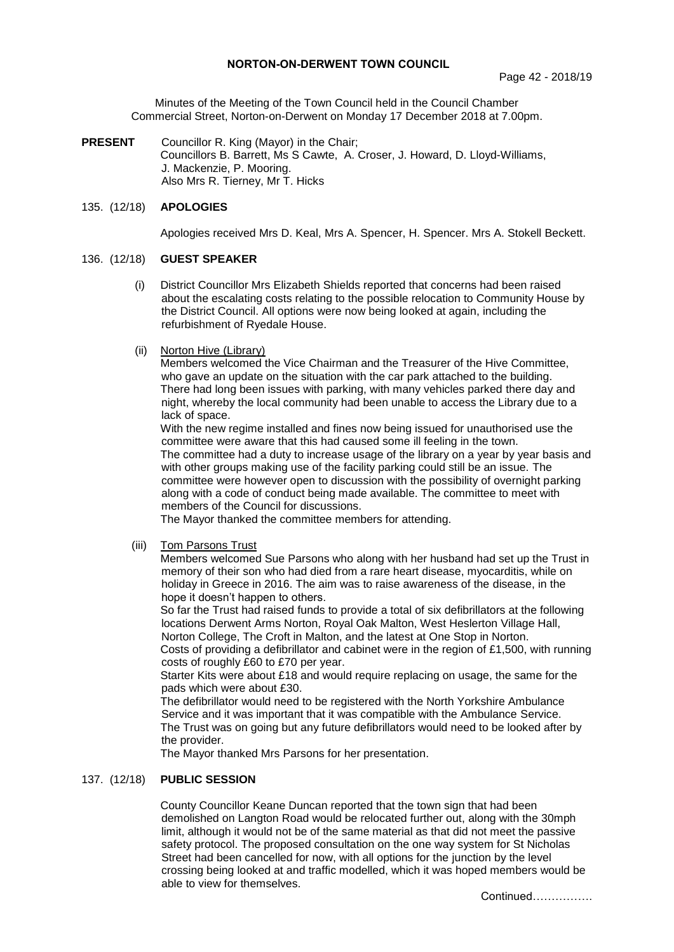## **NORTON-ON-DERWENT TOWN COUNCIL**

Minutes of the Meeting of the Town Council held in the Council Chamber Commercial Street, Norton-on-Derwent on Monday 17 December 2018 at 7.00pm.

**PRESENT** Councillor R. King (Mayor) in the Chair; Councillors B. Barrett, Ms S Cawte, A. Croser, J. Howard, D. Lloyd-Williams, J. Mackenzie, P. Mooring. Also Mrs R. Tierney, Mr T. Hicks

## 135. (12/18) **APOLOGIES**

Apologies received Mrs D. Keal, Mrs A. Spencer, H. Spencer. Mrs A. Stokell Beckett.

## 136. (12/18) **GUEST SPEAKER**

- (i) District Councillor Mrs Elizabeth Shields reported that concerns had been raised about the escalating costs relating to the possible relocation to Community House by the District Council. All options were now being looked at again, including the refurbishment of Ryedale House.
- (ii) Norton Hive (Library)

Members welcomed the Vice Chairman and the Treasurer of the Hive Committee, who gave an update on the situation with the car park attached to the building. There had long been issues with parking, with many vehicles parked there day and night, whereby the local community had been unable to access the Library due to a lack of space.

With the new regime installed and fines now being issued for unauthorised use the committee were aware that this had caused some ill feeling in the town. The committee had a duty to increase usage of the library on a year by year basis and with other groups making use of the facility parking could still be an issue. The

committee were however open to discussion with the possibility of overnight parking along with a code of conduct being made available. The committee to meet with members of the Council for discussions.

The Mayor thanked the committee members for attending.

(iii) Tom Parsons Trust

Members welcomed Sue Parsons who along with her husband had set up the Trust in memory of their son who had died from a rare heart disease, myocarditis, while on holiday in Greece in 2016. The aim was to raise awareness of the disease, in the hope it doesn't happen to others.

So far the Trust had raised funds to provide a total of six defibrillators at the following locations Derwent Arms Norton, Royal Oak Malton, West Heslerton Village Hall, Norton College, The Croft in Malton, and the latest at One Stop in Norton.

Costs of providing a defibrillator and cabinet were in the region of £1,500, with running costs of roughly £60 to £70 per year.

Starter Kits were about £18 and would require replacing on usage, the same for the pads which were about £30.

The defibrillator would need to be registered with the North Yorkshire Ambulance Service and it was important that it was compatible with the Ambulance Service. The Trust was on going but any future defibrillators would need to be looked after by the provider.

The Mayor thanked Mrs Parsons for her presentation.

### 137. (12/18) **PUBLIC SESSION**

County Councillor Keane Duncan reported that the town sign that had been demolished on Langton Road would be relocated further out, along with the 30mph limit, although it would not be of the same material as that did not meet the passive safety protocol. The proposed consultation on the one way system for St Nicholas Street had been cancelled for now, with all options for the junction by the level crossing being looked at and traffic modelled, which it was hoped members would be able to view for themselves.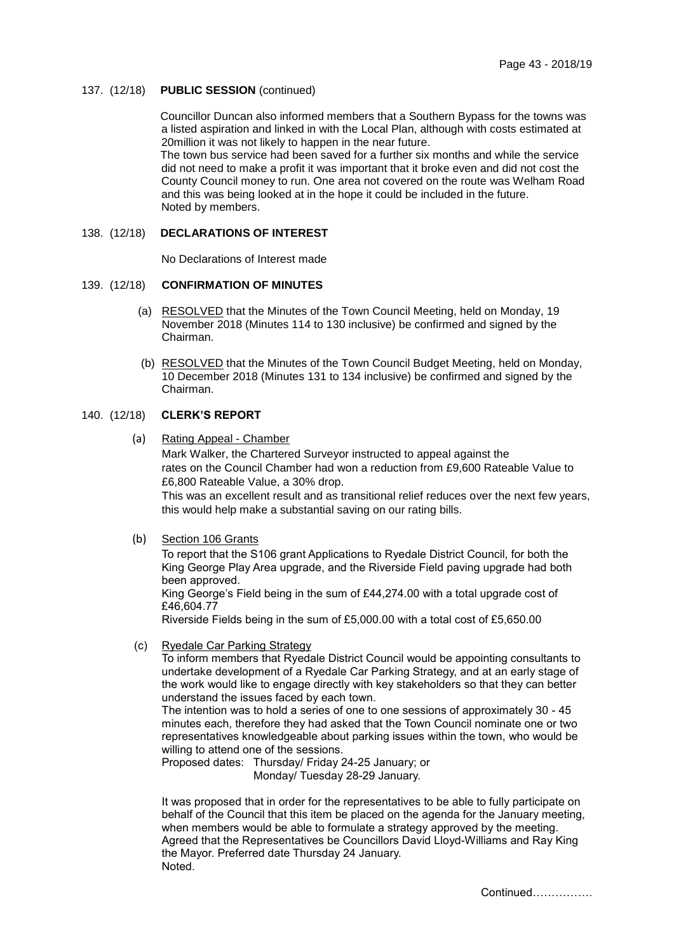### 137. (12/18) **PUBLIC SESSION** (continued)

Councillor Duncan also informed members that a Southern Bypass for the towns was a listed aspiration and linked in with the Local Plan, although with costs estimated at 20million it was not likely to happen in the near future.

The town bus service had been saved for a further six months and while the service did not need to make a profit it was important that it broke even and did not cost the County Council money to run. One area not covered on the route was Welham Road and this was being looked at in the hope it could be included in the future. Noted by members.

## 138. (12/18) **DECLARATIONS OF INTEREST**

No Declarations of Interest made

### 139. (12/18) **CONFIRMATION OF MINUTES**

- (a) RESOLVED that the Minutes of the Town Council Meeting, held on Monday, 19 November 2018 (Minutes 114 to 130 inclusive) be confirmed and signed by the Chairman.
- (b) RESOLVED that the Minutes of the Town Council Budget Meeting, held on Monday, 10 December 2018 (Minutes 131 to 134 inclusive) be confirmed and signed by the Chairman.

# 140. (12/18) **CLERK'S REPORT**

(a) Rating Appeal - Chamber

Mark Walker, the Chartered Surveyor instructed to appeal against the rates on the Council Chamber had won a reduction from £9,600 Rateable Value to £6,800 Rateable Value, a 30% drop.

This was an excellent result and as transitional relief reduces over the next few years, this would help make a substantial saving on our rating bills.

(b) Section 106 Grants

To report that the S106 grant Applications to Ryedale District Council, for both the King George Play Area upgrade, and the Riverside Field paving upgrade had both been approved.

King George's Field being in the sum of £44,274.00 with a total upgrade cost of £46,604.77

Riverside Fields being in the sum of £5,000.00 with a total cost of £5,650.00

(c) Ryedale Car Parking Strategy

To inform members that Ryedale District Council would be appointing consultants to undertake development of a Ryedale Car Parking Strategy, and at an early stage of the work would like to engage directly with key stakeholders so that they can better understand the issues faced by each town.

The intention was to hold a series of one to one sessions of approximately 30 - 45 minutes each, therefore they had asked that the Town Council nominate one or two representatives knowledgeable about parking issues within the town, who would be willing to attend one of the sessions.

Proposed dates: Thursday/ Friday 24-25 January; or Monday/ Tuesday 28-29 January.

It was proposed that in order for the representatives to be able to fully participate on behalf of the Council that this item be placed on the agenda for the January meeting, when members would be able to formulate a strategy approved by the meeting. Agreed that the Representatives be Councillors David Lloyd-Williams and Ray King the Mayor. Preferred date Thursday 24 January. Noted.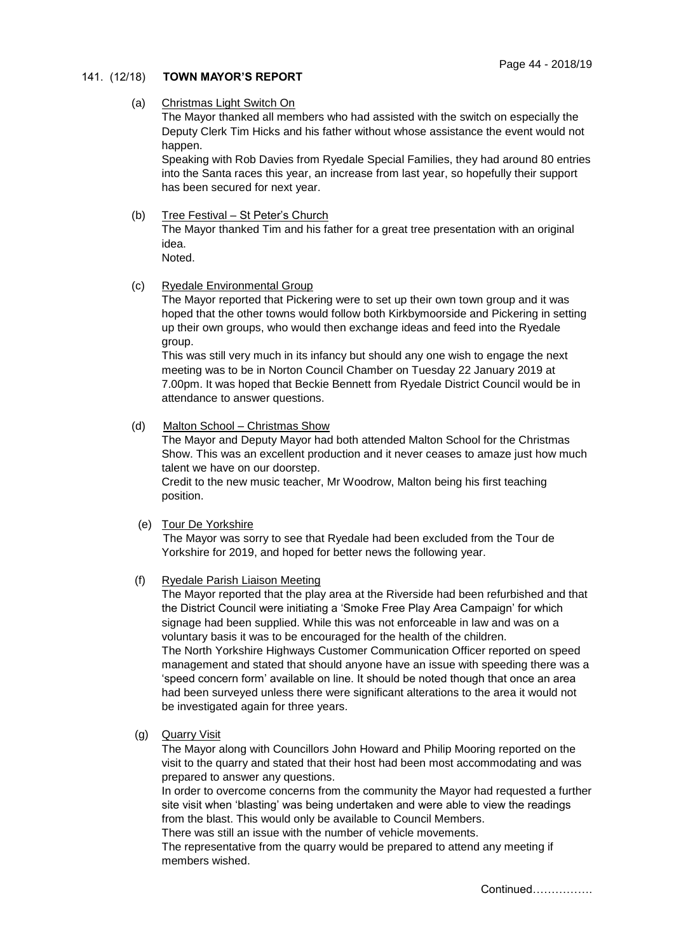## 141. (12/18) **TOWN MAYOR'S REPORT**

### (a) Christmas Light Switch On

The Mayor thanked all members who had assisted with the switch on especially the Deputy Clerk Tim Hicks and his father without whose assistance the event would not happen.

Speaking with Rob Davies from Ryedale Special Families, they had around 80 entries into the Santa races this year, an increase from last year, so hopefully their support has been secured for next year.

## (b) Tree Festival – St Peter's Church

The Mayor thanked Tim and his father for a great tree presentation with an original idea.

Noted.

## (c) Ryedale Environmental Group

The Mayor reported that Pickering were to set up their own town group and it was hoped that the other towns would follow both Kirkbymoorside and Pickering in setting up their own groups, who would then exchange ideas and feed into the Ryedale group.

This was still very much in its infancy but should any one wish to engage the next meeting was to be in Norton Council Chamber on Tuesday 22 January 2019 at 7.00pm. It was hoped that Beckie Bennett from Ryedale District Council would be in attendance to answer questions.

## (d) Malton School – Christmas Show

The Mayor and Deputy Mayor had both attended Malton School for the Christmas Show. This was an excellent production and it never ceases to amaze just how much talent we have on our doorstep.

Credit to the new music teacher, Mr Woodrow, Malton being his first teaching position.

# (e) Tour De Yorkshire

The Mayor was sorry to see that Ryedale had been excluded from the Tour de Yorkshire for 2019, and hoped for better news the following year.

## (f) Ryedale Parish Liaison Meeting

The Mayor reported that the play area at the Riverside had been refurbished and that the District Council were initiating a 'Smoke Free Play Area Campaign' for which signage had been supplied. While this was not enforceable in law and was on a voluntary basis it was to be encouraged for the health of the children. The North Yorkshire Highways Customer Communication Officer reported on speed management and stated that should anyone have an issue with speeding there was a 'speed concern form' available on line. It should be noted though that once an area had been surveyed unless there were significant alterations to the area it would not be investigated again for three years.

(g) Quarry Visit

The Mayor along with Councillors John Howard and Philip Mooring reported on the visit to the quarry and stated that their host had been most accommodating and was prepared to answer any questions.

In order to overcome concerns from the community the Mayor had requested a further site visit when 'blasting' was being undertaken and were able to view the readings from the blast. This would only be available to Council Members.

There was still an issue with the number of vehicle movements.

The representative from the quarry would be prepared to attend any meeting if members wished.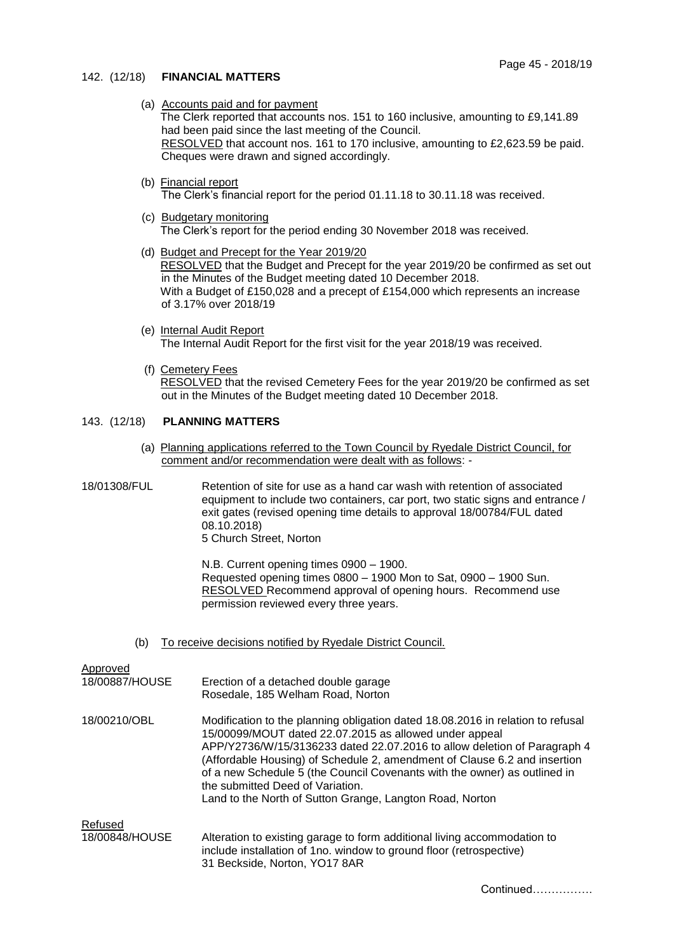## 142. (12/18) **FINANCIAL MATTERS**

(a) Accounts paid and for payment

The Clerk reported that accounts nos. 151 to 160 inclusive, amounting to £9,141.89 had been paid since the last meeting of the Council. RESOLVED that account nos. 161 to 170 inclusive, amounting to £2,623.59 be paid. Cheques were drawn and signed accordingly.

(b) Financial report

The Clerk's financial report for the period 01.11.18 to 30.11.18 was received.

- (c) Budgetary monitoring The Clerk's report for the period ending 30 November 2018 was received.
- (d) Budget and Precept for the Year 2019/20 RESOLVED that the Budget and Precept for the year 2019/20 be confirmed as set out in the Minutes of the Budget meeting dated 10 December 2018. With a Budget of £150,028 and a precept of £154,000 which represents an increase of 3.17% over 2018/19
- (e) Internal Audit Report The Internal Audit Report for the first visit for the year 2018/19 was received.
- (f) Cemetery Fees

RESOLVED that the revised Cemetery Fees for the year 2019/20 be confirmed as set out in the Minutes of the Budget meeting dated 10 December 2018.

### 143. (12/18) **PLANNING MATTERS**

(a) Planning applications referred to the Town Council by Ryedale District Council, for comment and/or recommendation were dealt with as follows: -

18/01308/FUL Retention of site for use as a hand car wash with retention of associated equipment to include two containers, car port, two static signs and entrance / exit gates (revised opening time details to approval 18/00784/FUL dated 08.10.2018) 5 Church Street, Norton

> N.B. Current opening times 0900 – 1900. Requested opening times 0800 – 1900 Mon to Sat, 0900 – 1900 Sun. RESOLVED Recommend approval of opening hours. Recommend use permission reviewed every three years.

(b) To receive decisions notified by Ryedale District Council.

| Approved<br>18/00887/HOUSE | Erection of a detached double garage<br>Rosedale, 185 Welham Road, Norton                                                                                                                                                                                                                                                                                                                                                                                                       |
|----------------------------|---------------------------------------------------------------------------------------------------------------------------------------------------------------------------------------------------------------------------------------------------------------------------------------------------------------------------------------------------------------------------------------------------------------------------------------------------------------------------------|
| 18/00210/OBL               | Modification to the planning obligation dated 18.08.2016 in relation to refusal<br>15/00099/MOUT dated 22.07.2015 as allowed under appeal<br>APP/Y2736/W/15/3136233 dated 22.07.2016 to allow deletion of Paragraph 4<br>(Affordable Housing) of Schedule 2, amendment of Clause 6.2 and insertion<br>of a new Schedule 5 (the Council Covenants with the owner) as outlined in<br>the submitted Deed of Variation.<br>Land to the North of Sutton Grange, Langton Road, Norton |
| Refused                    |                                                                                                                                                                                                                                                                                                                                                                                                                                                                                 |
| 18/00848/HOUSE             | Alteration to existing garage to form additional living accommodation to<br>include installation of 1no. window to ground floor (retrospective)<br>31 Beckside, Norton, YO17 8AR                                                                                                                                                                                                                                                                                                |